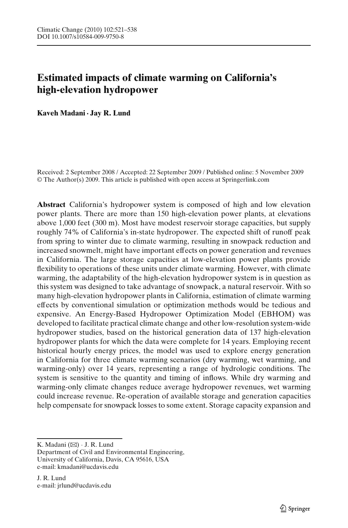# **Estimated impacts of climate warming on California's high-elevation hydropower**

**Kaveh Madani· Jay R. Lund**

Received: 2 September 2008 / Accepted: 22 September 2009 / Published online: 5 November 2009 © The Author(s) 2009. This article is published with open access at Springerlink.com

**Abstract** California's hydropower system is composed of high and low elevation power plants. There are more than 150 high-elevation power plants, at elevations above 1,000 feet (300 m). Most have modest reservoir storage capacities, but supply roughly 74% of California's in-state hydropower. The expected shift of runoff peak from spring to winter due to climate warming, resulting in snowpack reduction and increased snowmelt, might have important effects on power generation and revenues in California. The large storage capacities at low-elevation power plants provide flexibility to operations of these units under climate warming. However, with climate warming, the adaptability of the high-elevation hydropower system is in question as this system was designed to take advantage of snowpack, a natural reservoir. With so many high-elevation hydropower plants in California, estimation of climate warming effects by conventional simulation or optimization methods would be tedious and expensive. An Energy-Based Hydropower Optimization Model (EBHOM) was developed to facilitate practical climate change and other low-resolution system-wide hydropower studies, based on the historical generation data of 137 high-elevation hydropower plants for which the data were complete for 14 years. Employing recent historical hourly energy prices, the model was used to explore energy generation in California for three climate warming scenarios (dry warming, wet warming, and warming-only) over 14 years, representing a range of hydrologic conditions. The system is sensitive to the quantity and timing of inflows. While dry warming and warming-only climate changes reduce average hydropower revenues, wet warming could increase revenue. Re-operation of available storage and generation capacities help compensate for snowpack losses to some extent. Storage capacity expansion and

K. Madani (B) · J. R. Lund

Department of Civil and Environmental Engineering, University of California, Davis, CA 95616, USA e-mail: kmadani@ucdavis.edu

J. R. Lund e-mail: jrlund@ucdavis.edu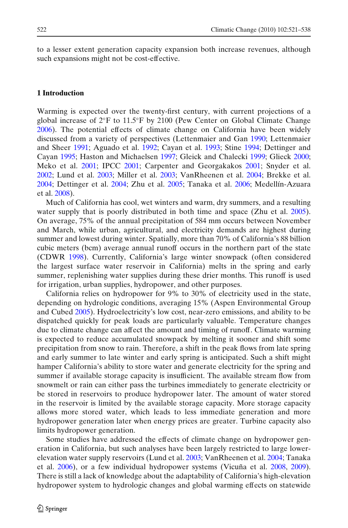to a lesser extent generation capacity expansion both increase revenues, although such expansions might not be cost-effective.

# **1 Introduction**

Warming is expected over the twenty-first century, with current projections of a global increase of 2◦F to 11.5◦F by 2100 (Pew Center on Global Climate Chang[e](#page-17-0) [2006\)](#page-17-0). The potential effects of climate change on California have been widely discussed from a variety of perspectives (Lettenmaier and Gan [1990;](#page-17-0) Lettenmaier and Sheer [1991;](#page-17-0) Aguado et al. [1992](#page-16-0); Cayan et al. [1993](#page-16-0); Stine [1994;](#page-17-0) Dettinger and Cayan [1995](#page-16-0); Haston and Michaelsen [1997;](#page-17-0) Gleick and Chalecki [1999](#page-16-0); Glieck [2000](#page-16-0); Meko et al. [2001;](#page-17-0) IPCC [2001](#page-17-0); Carpenter and Georgakakos [2001](#page-16-0); Snyder et al. [2002;](#page-17-0) Lund et al. [2003](#page-17-0); Miller et al. [2003;](#page-17-0) VanRheenen et al. [2004;](#page-17-0) Brekke et al. [2004;](#page-16-0) Dettinger et al. [2004;](#page-16-0) Zhu et al. [2005;](#page-17-0) Tanaka et al. [2006;](#page-17-0) Medellín-Azuara et al. [2008](#page-17-0)).

Much of California has cool, wet winters and warm, dry summers, and a resulting water supply that is poorly distributed in both time and space (Zhu et al[.](#page-17-0) [2005\)](#page-17-0). On average, 75% of the annual precipitation of 584 mm occurs between November and March, while urban, agricultural, and electricity demands are highest during summer and lowest during winter. Spatially, more than 70% of California's 88 billion cubic meters (bcm) average annual runoff occurs in the northern part of the state (CDW[R](#page-16-0) [1998\)](#page-16-0). Currently, California's large winter snowpack (often considered the largest surface water reservoir in California) melts in the spring and early summer, replenishing water supplies during these drier months. This runoff is used for irrigation, urban supplies, hydropower, and other purposes.

California relies on hydropower for 9% to 30% of electricity used in the state, depending on hydrologic conditions, averaging 15% (Aspen Environmental Group and Cube[d](#page-16-0) [2005\)](#page-16-0). Hydroelectricity's low cost, near-zero emissions, and ability to be dispatched quickly for peak loads are particularly valuable. Temperature changes due to climate change can affect the amount and timing of runoff. Climate warming is expected to reduce accumulated snowpack by melting it sooner and shift some precipitation from snow to rain. Therefore, a shift in the peak flows from late spring and early summer to late winter and early spring is anticipated. Such a shift might hamper California's ability to store water and generate electricity for the spring and summer if available storage capacity is insufficient. The available stream flow from snowmelt or rain can either pass the turbines immediately to generate electricity or be stored in reservoirs to produce hydropower later. The amount of water stored in the reservoir is limited by the available storage capacity. More storage capacity allows more stored water, which leads to less immediate generation and more hydropower generation later when energy prices are greater. Turbine capacity also limits hydropower generation.

Some studies have addressed the effects of climate change on hydropower generation in California, but such analyses have been largely restricted to large lowerelevation water supply reservoirs (Lund et al[.](#page-17-0) [2003;](#page-17-0) VanRheenen et al[.](#page-17-0) [2004;](#page-17-0) Tanaka et al[.](#page-17-0) [2006\)](#page-17-0), or a few individual hydropower systems (Vicuña et al[.](#page-17-0) [2008](#page-17-0), [2009\)](#page-17-0). There is still a lack of knowledge about the adaptability of California's high-elevation hydropower system to hydrologic changes and global warming effects on statewide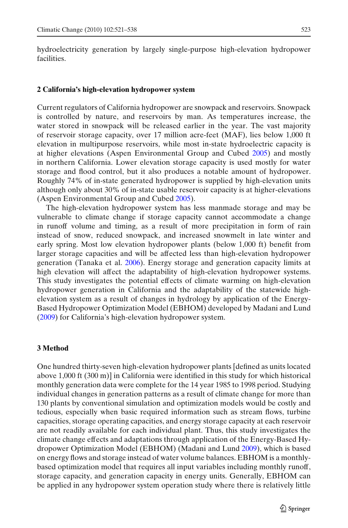hydroelectricity generation by largely single-purpose high-elevation hydropower facilities.

# **2 California's high-elevation hydropower system**

Current regulators of California hydropower are snowpack and reservoirs. Snowpack is controlled by nature, and reservoirs by man. As temperatures increase, the water stored in snowpack will be released earlier in the year. The vast majority of reservoir storage capacity, over 17 million acre-feet (MAF), lies below 1,000 ft elevation in multipurpose reservoirs, while most in-state hydroelectric capacity is at higher elevations (Aspen Environmental Group and Cube[d](#page-16-0) [2005\)](#page-16-0) and mostly in northern California. Lower elevation storage capacity is used mostly for water storage and flood control, but it also produces a notable amount of hydropower. Roughly 74% of in-state generated hydropower is supplied by high-elevation units although only about 30% of in-state usable reservoir capacity is at higher-elevations (Aspen Environmental Group and Cube[d](#page-16-0) [2005\)](#page-16-0).

The high-elevation hydropower system has less manmade storage and may be vulnerable to climate change if storage capacity cannot accommodate a change in runoff volume and timing, as a result of more precipitation in form of rain instead of snow, reduced snowpack, and increased snowmelt in late winter and early spring. Most low elevation hydropower plants (below 1,000 ft) benefit from larger storage capacities and will be affected less than high-elevation hydropower generation (Tanaka et al[.](#page-17-0) [2006](#page-17-0)). Energy storage and generation capacity limits at high elevation will affect the adaptability of high-elevation hydropower systems. This study investigates the potential effects of climate warming on high-elevation hydropower generation in California and the adaptability of the statewide highelevation system as a result of changes in hydrology by application of the Energy-Based Hydropower Optimization Model (EBHOM) developed by Madani and Lun[d](#page-17-0) [\(2009](#page-17-0)) for California's high-elevation hydropower system.

# **3 Method**

One hundred thirty-seven high-elevation hydropower plants [defined as units located above 1,000 ft (300 m)] in California were identified in this study for which historical monthly generation data were complete for the 14 year 1985 to 1998 period. Studying individual changes in generation patterns as a result of climate change for more than 130 plants by conventional simulation and optimization models would be costly and tedious, especially when basic required information such as stream flows, turbine capacities, storage operating capacities, and energy storage capacity at each reservoir are not readily available for each individual plant. Thus, this study investigates the climate change effects and adaptations through application of the Energy-Based Hydropower Optimization Model (EBHOM) (Madani and Lun[d](#page-17-0) [2009](#page-17-0)), which is based on energy flows and storage instead of water volume balances. EBHOM is a monthlybased optimization model that requires all input variables including monthly runoff, storage capacity, and generation capacity in energy units. Generally, EBHOM can be applied in any hydropower system operation study where there is relatively little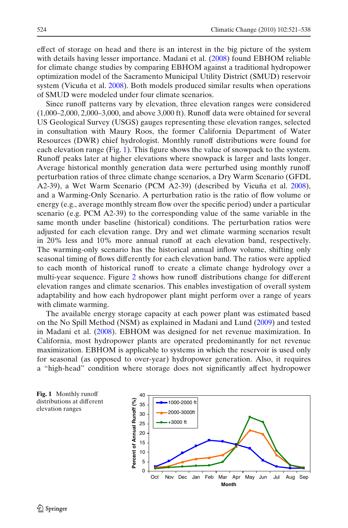effect of storage on head and there is an interest in the big picture of the system with details having lesser importance[.](#page-17-0) Madani et al. [\(2008](#page-17-0)) found EBHOM reliable for climate change studies by comparing EBHOM against a traditional hydropower optimization model of the Sacramento Municipal Utility District (SMUD) reservoir system (Vicuña et al[.](#page-17-0) [2008](#page-17-0)). Both models produced similar results when operations of SMUD were modeled under four climate scenarios.

Since runoff patterns vary by elevation, three elevation ranges were considered (1,000–2,000, 2,000–3,000, and above 3,000 ft). Runoff data were obtained for several US Geological Survey (USGS) gauges representing these elevation ranges, selected in consultation with Maury Roos, the former California Department of Water Resources (DWR) chief hydrologist. Monthly runoff distributions were found for each elevation range (Fig. 1). This figure shows the value of snowpack to the system. Runoff peaks later at higher elevations where snowpack is larger and lasts longer. Average historical monthly generation data were perturbed using monthly runoff perturbation ratios of three climate change scenarios, a Dry Warm Scenario (GFDL A2-39), a Wet Warm Scenario (PCM A2-39) (described by Vicuña et al[.](#page-17-0) [2008\)](#page-17-0), and a Warming-Only Scenario. A perturbation ratio is the ratio of flow volume or energy (e.g., average monthly stream flow over the specific period) under a particular scenario (e.g. PCM A2-39) to the corresponding value of the same variable in the same month under baseline (historical) conditions. The perturbation ratios were adjusted for each elevation range. Dry and wet climate warming scenarios result in 20% less and 10% more annual runoff at each elevation band, respectively. The warming-only scenario has the historical annual inflow volume, shifting only seasonal timing of flows differently for each elevation band. The ratios were applied to each month of historical runoff to create a climate change hydrology over a multi-year sequence. Figure [2](#page-4-0) shows how runoff distributions change for different elevation ranges and climate scenarios. This enables investigation of overall system adaptability and how each hydropower plant might perform over a range of years with climate warming.

The available energy storage capacity at each power plant was estimated based on the No Spill Method (NSM) as explained in Madani and Lun[d](#page-17-0) [\(2009\)](#page-17-0) and tested in Madani et al[.](#page-17-0) [\(2008](#page-17-0)). EBHOM was designed for net revenue maximization. In California, most hydropower plants are operated predominantly for net revenue maximization. EBHOM is applicable to systems in which the reservoir is used only for seasonal (as opposed to over-year) hydropower generation. Also, it requires a "high-head" condition where storage does not significantly affect hydropower

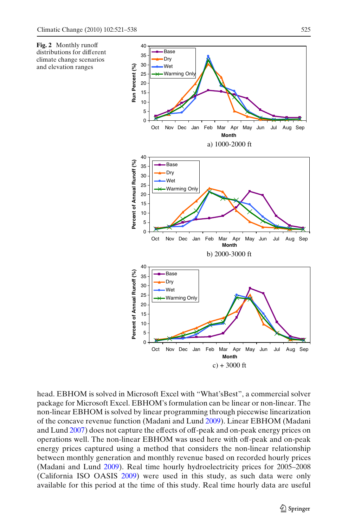<span id="page-4-0"></span>

head. EBHOM is solved in Microsoft Excel with "What'sBest", a commercial solver package for Microsoft Excel. EBHOM's formulation can be linear or non-linear. The non-linear EBHOM is solved by linear programming through piecewise linearization of the concave revenue function (Madani and Lun[d](#page-17-0) [2009\)](#page-17-0). Linear EBHOM (Madani and Lun[d](#page-17-0) [2007](#page-17-0)) does not capture the effects of off-peak and on-peak energy prices on operations well. The non-linear EBHOM was used here with off-peak and on-peak energy prices captured using a method that considers the non-linear relationship between monthly generation and monthly revenue based on recorded hourly prices (Madani and Lun[d](#page-17-0) [2009](#page-17-0)). Real time hourly hydroelectricity prices for 2005–2008 (California ISO OASI[S](#page-16-0) [2009](#page-16-0)) were used in this study, as such data were only available for this period at the time of this study. Real time hourly data are useful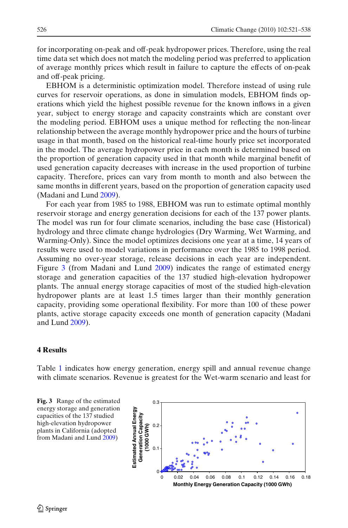for incorporating on-peak and off-peak hydropower prices. Therefore, using the real time data set which does not match the modeling period was preferred to application of average monthly prices which result in failure to capture the effects of on-peak and off-peak pricing.

EBHOM is a deterministic optimization model. Therefore instead of using rule curves for reservoir operations, as done in simulation models, EBHOM finds operations which yield the highest possible revenue for the known inflows in a given year, subject to energy storage and capacity constraints which are constant over the modeling period. EBHOM uses a unique method for reflecting the non-linear relationship between the average monthly hydropower price and the hours of turbine usage in that month, based on the historical real-time hourly price set incorporated in the model. The average hydropower price in each month is determined based on the proportion of generation capacity used in that month while marginal benefit of used generation capacity decreases with increase in the used proportion of turbine capacity. Therefore, prices can vary from month to month and also between the same months in different years, based on the proportion of generation capacity used (Madani and Lun[d](#page-17-0) [2009\)](#page-17-0).

For each year from 1985 to 1988, EBHOM was run to estimate optimal monthly reservoir storage and energy generation decisions for each of the 137 power plants. The model was run for four climate scenarios, including the base case (Historical) hydrology and three climate change hydrologies (Dry Warming, Wet Warming, and Warming-Only). Since the model optimizes decisions one year at a time, 14 years of results were used to model variations in performance over the 1985 to 1998 period. Assuming no over-year storage, release decisions in each year are independent. Figure 3 (from Madani and Lun[d](#page-17-0) [2009\)](#page-17-0) indicates the range of estimated energy storage and generation capacities of the 137 studied high-elevation hydropower plants. The annual energy storage capacities of most of the studied high-elevation hydropower plants are at least 1.5 times larger than their monthly generation capacity, providing some operational flexibility. For more than 100 of these power plants, active storage capacity exceeds one month of generation capacity (Madani and Lun[d](#page-17-0) [2009](#page-17-0)).

#### **4 Results**

Table [1](#page-6-0) indicates how energy generation, energy spill and annual revenue change with climate scenarios. Revenue is greatest for the Wet-warm scenario and least for

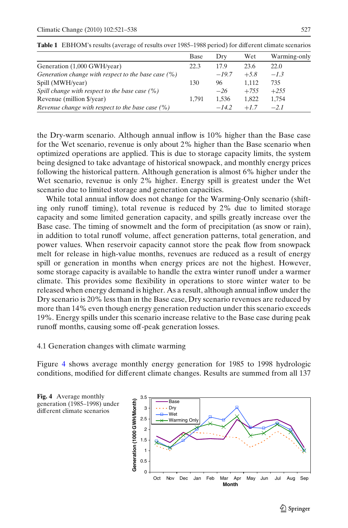|                                                        | Base  | Drv     | Wet    | Warming-only |
|--------------------------------------------------------|-------|---------|--------|--------------|
| Generation (1,000 GWH/year)                            | 22.3  | 17.9    | 23.6   | 22.0         |
| Generation change with respect to the base case $(\%)$ |       | $-19.7$ | $+5.8$ | $-1.3$       |
| Spill (MWH/year)                                       | 130   | 96      | 1.112  | 735          |
| Spill change with respect to the base case $(\%)$      |       | $-26$   | $+755$ | $+255$       |
| Revenue (million \$/year)                              | 1.791 | 1.536   | 1.822  | 1.754        |
| Revenue change with respect to the base case (%)       |       | $-14.2$ | $+1.7$ | $-2.1$       |

<span id="page-6-0"></span>**Table 1** EBHOM's results (average of results over 1985–1988 period) for different climate scenarios

the Dry-warm scenario. Although annual inflow is 10% higher than the Base case for the Wet scenario, revenue is only about 2% higher than the Base scenario when optimized operations are applied. This is due to storage capacity limits, the system being designed to take advantage of historical snowpack, and monthly energy prices following the historical pattern. Although generation is almost 6% higher under the Wet scenario, revenue is only 2% higher. Energy spill is greatest under the Wet scenario due to limited storage and generation capacities.

While total annual inflow does not change for the Warming-Only scenario (shifting only runoff timing), total revenue is reduced by 2% due to limited storage capacity and some limited generation capacity, and spills greatly increase over the Base case. The timing of snowmelt and the form of precipitation (as snow or rain), in addition to total runoff volume, affect generation patterns, total generation, and power values. When reservoir capacity cannot store the peak flow from snowpack melt for release in high-value months, revenues are reduced as a result of energy spill or generation in months when energy prices are not the highest. However, some storage capacity is available to handle the extra winter runoff under a warmer climate. This provides some flexibility in operations to store winter water to be released when energy demand is higher. As a result, although annual inflow under the Dry scenario is 20% less than in the Base case, Dry scenario revenues are reduced by more than 14% even though energy generation reduction under this scenario exceeds 19%. Energy spills under this scenario increase relative to the Base case during peak runoff months, causing some off-peak generation losses.

#### 4.1 Generation changes with climate warming

Figure 4 shows average monthly energy generation for 1985 to 1998 hydrologic conditions, modified for different climate changes. Results are summed from all 137

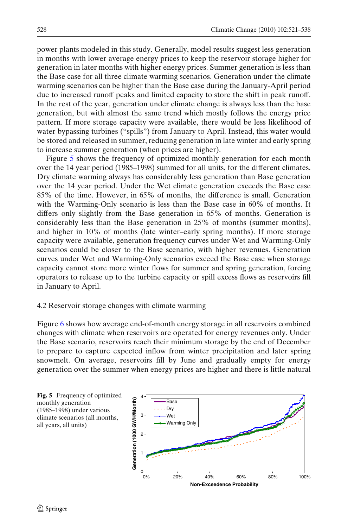power plants modeled in this study. Generally, model results suggest less generation in months with lower average energy prices to keep the reservoir storage higher for generation in later months with higher energy prices. Summer generation is less than the Base case for all three climate warming scenarios. Generation under the climate warming scenarios can be higher than the Base case during the January-April period due to increased runoff peaks and limited capacity to store the shift in peak runoff. In the rest of the year, generation under climate change is always less than the base generation, but with almost the same trend which mostly follows the energy price pattern. If more storage capacity were available, there would be less likelihood of water bypassing turbines ("spills") from January to April. Instead, this water would be stored and released in summer, reducing generation in late winter and early spring to increase summer generation (when prices are higher).

Figure 5 shows the frequency of optimized monthly generation for each month over the 14 year period (1985–1998) summed for all units, for the different climates. Dry climate warming always has considerably less generation than Base generation over the 14 year period. Under the Wet climate generation exceeds the Base case 85% of the time. However, in 65% of months, the difference is small. Generation with the Warming-Only scenario is less than the Base case in 60% of months. It differs only slightly from the Base generation in 65% of months. Generation is considerably less than the Base generation in 25% of months (summer months), and higher in 10% of months (late winter–early spring months). If more storage capacity were available, generation frequency curves under Wet and Warming-Only scenarios could be closer to the Base scenario, with higher revenues. Generation curves under Wet and Warming-Only scenarios exceed the Base case when storage capacity cannot store more winter flows for summer and spring generation, forcing operators to release up to the turbine capacity or spill excess flows as reservoirs fill in January to April.

#### 4.2 Reservoir storage changes with climate warming

Figure [6](#page-8-0) shows how average end-of-month energy storage in all reservoirs combined changes with climate when reservoirs are operated for energy revenues only. Under the Base scenario, reservoirs reach their minimum storage by the end of December to prepare to capture expected inflow from winter precipitation and later spring snowmelt. On average, reservoirs fill by June and gradually empty for energy generation over the summer when energy prices are higher and there is little natural

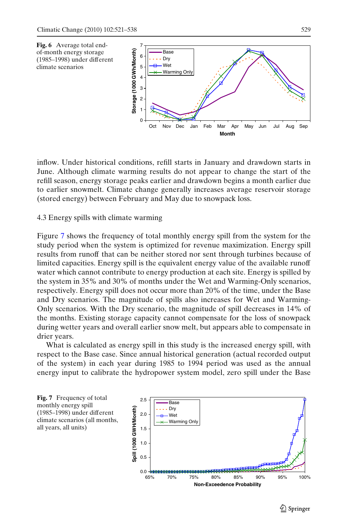<span id="page-8-0"></span>

inflow. Under historical conditions, refill starts in January and drawdown starts in June. Although climate warming results do not appear to change the start of the refill season, energy storage peaks earlier and drawdown begins a month earlier due to earlier snowmelt. Climate change generally increases average reservoir storage (stored energy) between February and May due to snowpack loss.

# 4.3 Energy spills with climate warming

Figure 7 shows the frequency of total monthly energy spill from the system for the study period when the system is optimized for revenue maximization. Energy spill results from runoff that can be neither stored nor sent through turbines because of limited capacities. Energy spill is the equivalent energy value of the available runoff water which cannot contribute to energy production at each site. Energy is spilled by the system in 35% and 30% of months under the Wet and Warming-Only scenarios, respectively. Energy spill does not occur more than 20% of the time, under the Base and Dry scenarios. The magnitude of spills also increases for Wet and Warming-Only scenarios. With the Dry scenario, the magnitude of spill decreases in 14% of the months. Existing storage capacity cannot compensate for the loss of snowpack during wetter years and overall earlier snow melt, but appears able to compensate in drier years.

What is calculated as energy spill in this study is the increased energy spill, with respect to the Base case. Since annual historical generation (actual recorded output of the system) in each year during 1985 to 1994 period was used as the annual energy input to calibrate the hydropower system model, zero spill under the Base

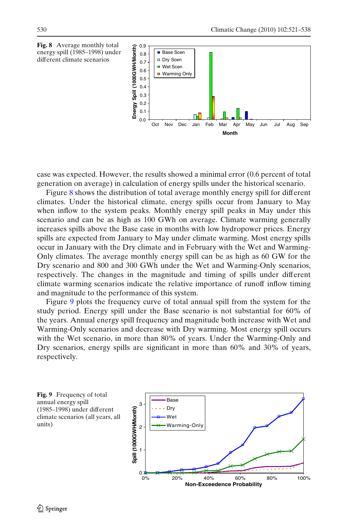

case was expected. However, the results showed a minimal error (0.6 percent of total generation on average) in calculation of energy spills under the historical scenario.

Figure 8 shows the distribution of total average monthly energy spill for different climates. Under the historical climate, energy spills occur from January to May when inflow to the system peaks. Monthly energy spill peaks in May under this scenario and can be as high as 100 GWh on average. Climate warming generally increases spills above the Base case in months with low hydropower prices. Energy spills are expected from January to May under climate warming. Most energy spills occur in January with the Dry climate and in February with the Wet and Warming-Only climates. The average monthly energy spill can be as high as 60 GW for the Dry scenario and 800 and 300 GWh under the Wet and Warming-Only scenarios, respectively. The changes in the magnitude and timing of spills under different climate warming scenarios indicate the relative importance of runoff inflow timing and magnitude to the performance of this system.

Figure 9 plots the frequency curve of total annual spill from the system for the study period. Energy spill under the Base scenario is not substantial for 60% of the years. Annual energy spill frequency and magnitude both increase with Wet and Warming-Only scenarios and decrease with Dry warming. Most energy spill occurs with the Wet scenario, in more than 80% of years. Under the Warming-Only and Dry scenarios, energy spills are significant in more than 60% and 30% of years, respectively.

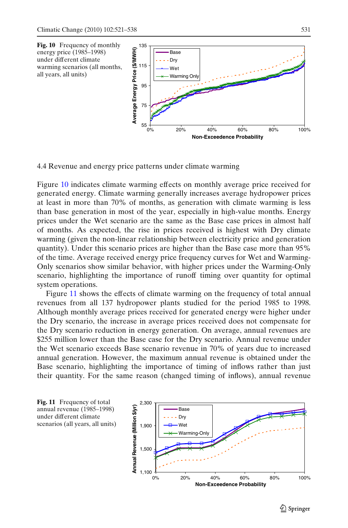

4.4 Revenue and energy price patterns under climate warming

Figure 10 indicates climate warming effects on monthly average price received for generated energy. Climate warming generally increases average hydropower prices at least in more than 70% of months, as generation with climate warming is less than base generation in most of the year, especially in high-value months. Energy prices under the Wet scenario are the same as the Base case prices in almost half of months. As expected, the rise in prices received is highest with Dry climate warming (given the non-linear relationship between electricity price and generation quantity). Under this scenario prices are higher than the Base case more than 95% of the time. Average received energy price frequency curves for Wet and Warming-Only scenarios show similar behavior, with higher prices under the Warming-Only scenario, highlighting the importance of runoff timing over quantity for optimal system operations.

Figure 11 shows the effects of climate warming on the frequency of total annual revenues from all 137 hydropower plants studied for the period 1985 to 1998. Although monthly average prices received for generated energy were higher under the Dry scenario, the increase in average prices received does not compensate for the Dry scenario reduction in energy generation. On average, annual revenues are \$255 million lower than the Base case for the Dry scenario. Annual revenue under the Wet scenario exceeds Base scenario revenue in 70% of years due to increased annual generation. However, the maximum annual revenue is obtained under the Base scenario, highlighting the importance of timing of inflows rather than just their quantity. For the same reason (changed timing of inflows), annual revenue



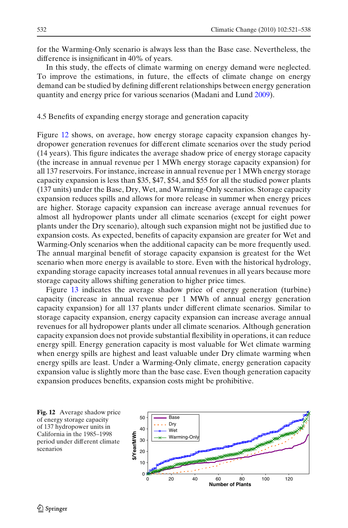<span id="page-11-0"></span>for the Warming-Only scenario is always less than the Base case. Nevertheless, the difference is insignificant in 40% of years.

In this study, the effects of climate warming on energy demand were neglected. To improve the estimations, in future, the effects of climate change on energy demand can be studied by defining different relationships between energy generation quantity and energy price for various scenarios (Madani and Lun[d](#page-17-0) [2009\)](#page-17-0).

# 4.5 Benefits of expanding energy storage and generation capacity

Figure 12 shows, on average, how energy storage capacity expansion changes hydropower generation revenues for different climate scenarios over the study period (14 years). This figure indicates the average shadow price of energy storage capacity (the increase in annual revenue per 1 MWh energy storage capacity expansion) for all 137 reservoirs. For instance, increase in annual revenue per 1 MWh energy storage capacity expansion is less than \$35, \$47, \$54, and \$55 for all the studied power plants (137 units) under the Base, Dry, Wet, and Warming-Only scenarios. Storage capacity expansion reduces spills and allows for more release in summer when energy prices are higher. Storage capacity expansion can increase average annual revenues for almost all hydropower plants under all climate scenarios (except for eight power plants under the Dry scenario), altough such expansion might not be justified due to expansion costs. As expected, benefits of capacity expansion are greater for Wet and Warming-Only scenarios when the additional capacity can be more frequently used. The annual marginal benefit of storage capacity expansion is greatest for the Wet scenario when more energy is available to store. Even with the historical hydrology, expanding storage capacity increases total annual revenues in all years because more storage capacity allows shifting generation to higher price times.

Figure [13](#page-12-0) indicates the average shadow price of energy generation (turbine) capacity (increase in annual revenue per 1 MWh of annual energy generation capacity expansion) for all 137 plants under different climate scenarios. Similar to storage capacity expansion, energy capacity expansion can increase average annual revenues for all hydropower plants under all climate scenarios. Although generation capacity expansion does not provide substantial flexibility in operations, it can reduce energy spill. Energy generation capacity is most valuable for Wet climate warming when energy spills are highest and least valuable under Dry climate warming when energy spills are least. Under a Warming-Only climate, energy generation capacity expansion value is slightly more than the base case. Even though generation capacity expansion produces benefits, expansion costs might be prohibitive.

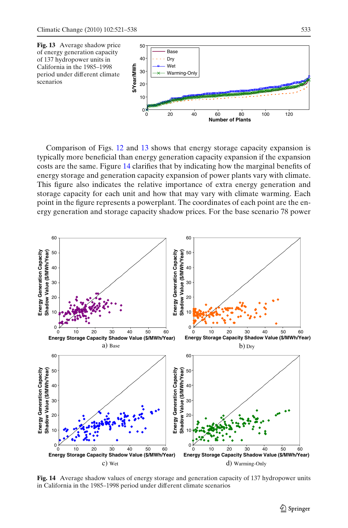<span id="page-12-0"></span>

Comparison of Figs. [12](#page-11-0) and 13 shows that energy storage capacity expansion is typically more beneficial than energy generation capacity expansion if the expansion costs are the same. Figure 14 clarifies that by indicating how the marginal benefits of energy storage and generation capacity expansion of power plants vary with climate. This figure also indicates the relative importance of extra energy generation and storage capacity for each unit and how that may vary with climate warming. Each point in the figure represents a powerplant. The coordinates of each point are the energy generation and storage capacity shadow prices. For the base scenario 78 power



**Fig. 14** Average shadow values of energy storage and generation capacity of 137 hydropower units in California in the 1985–1998 period under different climate scenarios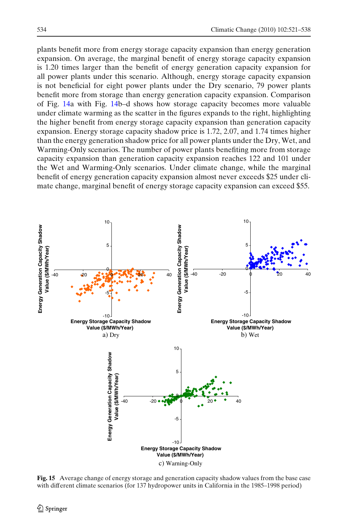<span id="page-13-0"></span>plants benefit more from energy storage capacity expansion than energy generation expansion. On average, the marginal benefit of energy storage capacity expansion is 1.20 times larger than the benefit of energy generation capacity expansion for all power plants under this scenario. Although, energy storage capacity expansion is not beneficial for eight power plants under the Dry scenario, 79 power plants benefit more from storage than energy generation capacity expansion. Comparison of Fig. [14a](#page-12-0) with Fig. [14b](#page-12-0)–d shows how storage capacity becomes more valuable under climate warming as the scatter in the figures expands to the right, highlighting the higher benefit from energy storage capacity expansion than generation capacity expansion. Energy storage capacity shadow price is 1.72, 2.07, and 1.74 times higher than the energy generation shadow price for all power plants under the Dry, Wet, and Warming-Only scenarios. The number of power plants benefiting more from storage capacity expansion than generation capacity expansion reaches 122 and 101 under the Wet and Warming-Only scenarios. Under climate change, while the marginal benefit of energy generation capacity expansion almost never exceeds \$25 under climate change, marginal benefit of energy storage capacity expansion can exceed \$55.



**Fig. 15** Average change of energy storage and generation capacity shadow values from the base case with different climate scenarios (for 137 hydropower units in California in the 1985–1998 period)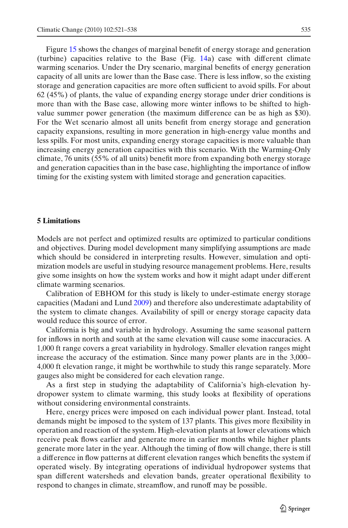Figure [15](#page-13-0) shows the changes of marginal benefit of energy storage and generation (turbine) capacities relative to the Base (Fig. [14a](#page-12-0)) case with different climate warming scenarios. Under the Dry scenario, marginal benefits of energy generation capacity of all units are lower than the Base case. There is less inflow, so the existing storage and generation capacities are more often sufficient to avoid spills. For about 62 (45%) of plants, the value of expanding energy storage under drier conditions is more than with the Base case, allowing more winter inflows to be shifted to highvalue summer power generation (the maximum difference can be as high as \$30). For the Wet scenario almost all units benefit from energy storage and generation capacity expansions, resulting in more generation in high-energy value months and less spills. For most units, expanding energy storage capacities is more valuable than increasing energy generation capacities with this scenario. With the Warming-Only climate, 76 units (55% of all units) benefit more from expanding both energy storage and generation capacities than in the base case, highlighting the importance of inflow timing for the existing system with limited storage and generation capacities.

# **5 Limitations**

Models are not perfect and optimized results are optimized to particular conditions and objectives. During model development many simplifying assumptions are made which should be considered in interpreting results. However, simulation and optimization models are useful in studying resource management problems. Here, results give some insights on how the system works and how it might adapt under different climate warming scenarios.

Calibration of EBHOM for this study is likely to under-estimate energy storage capacities (Madani and Lun[d](#page-17-0) [2009](#page-17-0)) and therefore also underestimate adaptability of the system to climate changes. Availability of spill or energy storage capacity data would reduce this source of error.

California is big and variable in hydrology. Assuming the same seasonal pattern for inflows in north and south at the same elevation will cause some inaccuracies. A 1,000 ft range covers a great variability in hydrology. Smaller elevation ranges might increase the accuracy of the estimation. Since many power plants are in the 3,000– 4,000 ft elevation range, it might be worthwhile to study this range separately. More gauges also might be considered for each elevation range.

As a first step in studying the adaptability of California's high-elevation hydropower system to climate warming, this study looks at flexibility of operations without considering environmental constraints.

Here, energy prices were imposed on each individual power plant. Instead, total demands might be imposed to the system of 137 plants. This gives more flexibility in operation and reaction of the system. High-elevation plants at lower elevations which receive peak flows earlier and generate more in earlier months while higher plants generate more later in the year. Although the timing of flow will change, there is still a difference in flow patterns at different elevation ranges which benefits the system if operated wisely. By integrating operations of individual hydropower systems that span different watersheds and elevation bands, greater operational flexibility to respond to changes in climate, streamflow, and runoff may be possible.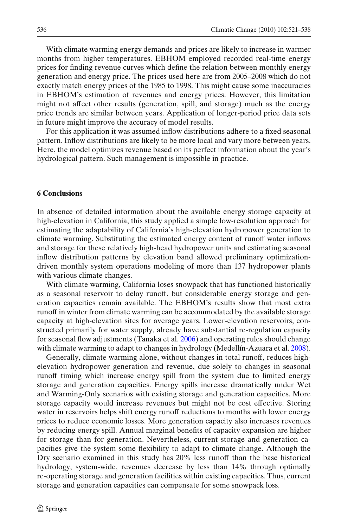With climate warming energy demands and prices are likely to increase in warmer months from higher temperatures. EBHOM employed recorded real-time energy prices for finding revenue curves which define the relation between monthly energy generation and energy price. The prices used here are from 2005–2008 which do not exactly match energy prices of the 1985 to 1998. This might cause some inaccuracies in EBHOM's estimation of revenues and energy prices. However, this limitation might not affect other results (generation, spill, and storage) much as the energy price trends are similar between years. Application of longer-period price data sets in future might improve the accuracy of model results.

For this application it was assumed inflow distributions adhere to a fixed seasonal pattern. Inflow distributions are likely to be more local and vary more between years. Here, the model optimizes revenue based on its perfect information about the year's hydrological pattern. Such management is impossible in practice.

#### **6 Conclusions**

In absence of detailed information about the available energy storage capacity at high-elevation in California, this study applied a simple low-resolution approach for estimating the adaptability of California's high-elevation hydropower generation to climate warming. Substituting the estimated energy content of runoff water inflows and storage for these relatively high-head hydropower units and estimating seasonal inflow distribution patterns by elevation band allowed preliminary optimizationdriven monthly system operations modeling of more than 137 hydropower plants with various climate changes.

With climate warming, California loses snowpack that has functioned historically as a seasonal reservoir to delay runoff, but considerable energy storage and generation capacities remain available. The EBHOM's results show that most extra runoff in winter from climate warming can be accommodated by the available storage capacity at high-elevation sites for average years. Lower-elevation reservoirs, constructed primarily for water supply, already have substantial re-regulation capacity for seasonal flow adjustments (Tanaka et al[.](#page-17-0) [2006\)](#page-17-0) and operating rules should change with climate warming to adapt to changes in hydrology (Medellín-Azuara et al[.](#page-17-0) [2008\)](#page-17-0).

Generally, climate warming alone, without changes in total runoff, reduces highelevation hydropower generation and revenue, due solely to changes in seasonal runoff timing which increase energy spill from the system due to limited energy storage and generation capacities. Energy spills increase dramatically under Wet and Warming-Only scenarios with existing storage and generation capacities. More storage capacity would increase revenues but might not be cost effective. Storing water in reservoirs helps shift energy runoff reductions to months with lower energy prices to reduce economic losses. More generation capacity also increases revenues by reducing energy spill. Annual marginal benefits of capacity expansion are higher for storage than for generation. Nevertheless, current storage and generation capacities give the system some flexibility to adapt to climate change. Although the Dry scenario examined in this study has 20% less runoff than the base historical hydrology, system-wide, revenues decrease by less than 14% through optimally re-operating storage and generation facilities within existing capacities. Thus, current storage and generation capacities can compensate for some snowpack loss.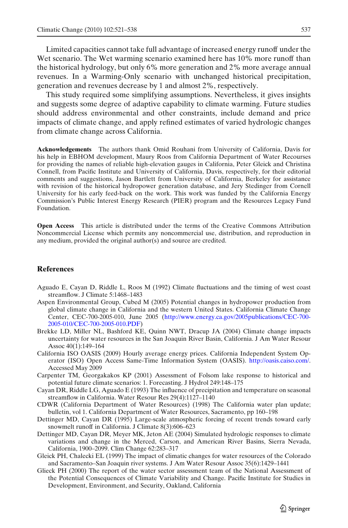<span id="page-16-0"></span>Limited capacities cannot take full advantage of increased energy runoff under the Wet scenario. The Wet warming scenario examined here has 10% more runoff than the historical hydrology, but only 6% more generation and 2% more average annual revenues. In a Warming-Only scenario with unchanged historical precipitation, generation and revenues decrease by 1 and almost 2%, respectively.

This study required some simplifying assumptions. Nevertheless, it gives insights and suggests some degree of adaptive capability to climate warming. Future studies should address environmental and other constraints, include demand and price impacts of climate change, and apply refined estimates of varied hydrologic changes from climate change across California.

**Acknowledgements** The authors thank Omid Rouhani from University of California, Davis for his help in EBHOM development, Maury Roos from California Department of Water Recourses for providing the names of reliable high-elevation gauges in California, Peter Gleick and Christina Connell, from Pacific Institute and University of California, Davis, respectively, for their editorial comments and suggestions, Jason Bartlett from University of California, Berkeley for assistance with revision of the historical hydropower generation database, and Jery Stedinger from Cornell University for his early feed-back on the work. This work was funded by the California Energy Commission's Public Interest Energy Research (PIER) program and the Resources Legacy Fund Foundation.

**Open Access** This article is distributed under the terms of the Creative Commons Attribution Noncommercial License which permits any noncommercial use, distribution, and reproduction in any medium, provided the original author(s) and source are credited.

# **References**

- Aguado E, Cayan D, Riddle L, Roos M (1992) Climate fluctuations and the timing of west coast streamflow. J Climate 5:1468–1483
- Aspen Environmental Group, Cubed M (2005) Potential changes in hydropower production from global climate change in California and the western United States. California Climate Change Center, CEC-700-2005-010, June 2005 [\(http://www.energy.ca.gov/2005publications/CEC-700-](http://www.energy.ca.gov/2005publications/CEC-700-2005-010/CEC-700-2005-010.PDF) [2005-010/CEC-700-2005-010.PDF\)](http://www.energy.ca.gov/2005publications/CEC-700-2005-010/CEC-700-2005-010.PDF)
- Brekke LD, Miller NL, Bashford KE, Quinn NWT, Dracup JA (2004) Climate change impacts uncertainty for water resources in the San Joaquin River Basin, California. J Am Water Resour Assoc 40(1):149–164
- California ISO OASIS (2009) Hourly average energy prices. California Independent System Operator (ISO) Open Access Same-Time Information System (OASIS). [http://oasis.caiso.com/.](http://oasis.caiso.com/) Accessed May 2009
- Carpenter TM, Georgakakos KP (2001) Assessment of Folsom lake response to historical and potential future climate scenarios: 1. Forecasting. J Hydrol 249:148–175
- Cayan DR, Riddle LG, Aguado E (1993) The influence of precipitation and temperature on seasonal streamflow in California. Water Resour Res 29(4):1127–1140
- CDWR (California Department of Water Resources) (1998) The California water plan update; bulletin, vol 1. California Department of Water Resources, Sacramento, pp 160–198
- Dettinger MD, Cayan DR (1995) Large-scale atmospheric forcing of recent trends toward early snowmelt runoff in California. J Climate 8(3):606–623
- Dettinger MD, Cayan DR, Meyer MK, Jeton AE (2004) Simulated hydrologic responses to climate variations and change in the Merced, Carson, and American River Basins, Sierra Nevada, California, 1900–2099. Clim Change 62:283–317
- Gleick PH, Chalecki EL (1999) The impact of climatic changes for water resources of the Colorado and Sacramento–San Joaquin river systems. J Am Water Resour Assoc 35(6):1429–1441
- Glieck PH (2000) The report of the water sector assessment team of the National Assessment of the Potential Consequences of Climate Variability and Change. Pacific Institute for Studies in Development, Environment, and Security, Oakland, California